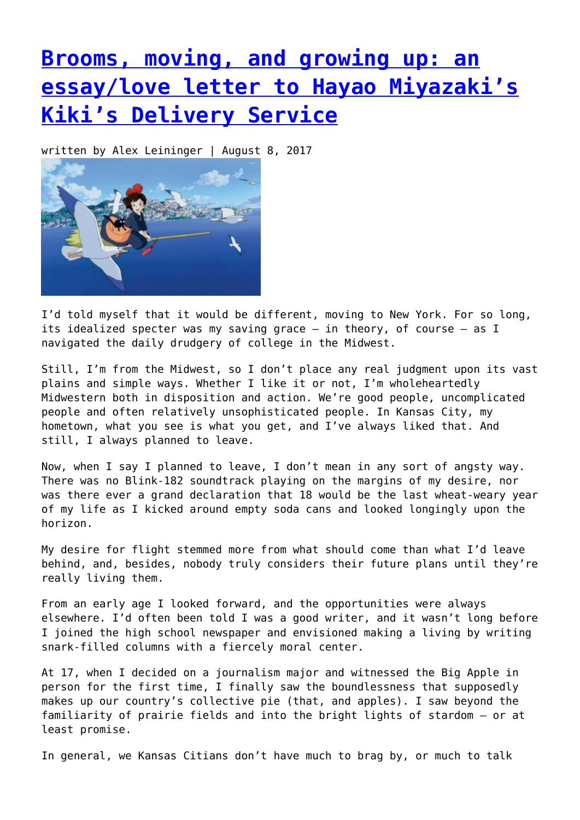## **[Brooms, moving, and growing up: an](https://entropymag.org/brooms-moving-and-growing-up-an-essaylove-letter-to-hayao-miyazakis-kikis-delivery-service/) [essay/love letter to Hayao Miyazaki's](https://entropymag.org/brooms-moving-and-growing-up-an-essaylove-letter-to-hayao-miyazakis-kikis-delivery-service/) [Kiki's Delivery Service](https://entropymag.org/brooms-moving-and-growing-up-an-essaylove-letter-to-hayao-miyazakis-kikis-delivery-service/)**

written by Alex Leininger | August 8, 2017



I'd told myself that it would be different, moving to New York. For so long, its idealized specter was my saving grace – in theory, of course – as I navigated the daily drudgery of college in the Midwest.

Still, I'm from the Midwest, so I don't place any real judgment upon its vast plains and simple ways. Whether I like it or not, I'm wholeheartedly Midwestern both in disposition and action. We're good people, uncomplicated people and often relatively unsophisticated people. In Kansas City, my hometown, what you see is what you get, and I've always liked that. And still, I always planned to leave.

Now, when I say I planned to leave, I don't mean in any sort of angsty way. There was no Blink-182 soundtrack playing on the margins of my desire, nor was there ever a grand declaration that 18 would be the last wheat-weary year of my life as I kicked around empty soda cans and looked longingly upon the horizon.

My desire for flight stemmed more from what should come than what I'd leave behind, and, besides, nobody truly considers their future plans until they're really living them.

From an early age I looked forward, and the opportunities were always elsewhere. I'd often been told I was a good writer, and it wasn't long before I joined the high school newspaper and envisioned making a living by writing snark-filled columns with a fiercely moral center.

At 17, when I decided on a journalism major and witnessed the Big Apple in person for the first time, I finally saw the boundlessness that supposedly makes up our country's collective pie (that, and apples). I saw beyond the familiarity of prairie fields and into the bright lights of stardom – or at least promise.

In general, we Kansas Citians don't have much to brag by, or much to talk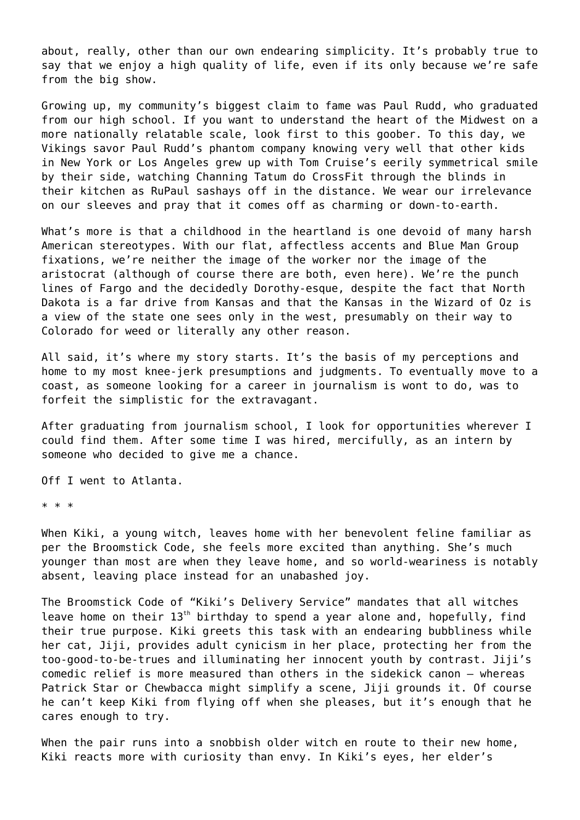about, really, other than our own endearing simplicity. It's probably true to say that we enjoy a high quality of life, even if its only because we're safe from the big show.

Growing up, my community's biggest claim to fame was Paul Rudd, who graduated from our high school. If you want to understand the heart of the Midwest on a more nationally relatable scale, look first to this goober. To this day, we Vikings savor Paul Rudd's phantom company knowing very well that other kids in New York or Los Angeles grew up with Tom Cruise's eerily symmetrical smile by their side, watching Channing Tatum do CrossFit through the blinds in their kitchen as RuPaul sashays off in the distance. We wear our irrelevance on our sleeves and pray that it comes off as charming or down-to-earth.

What's more is that a childhood in the heartland is one devoid of many harsh American stereotypes. With our flat, affectless accents and Blue Man Group fixations, we're neither the image of the worker nor the image of the aristocrat (although of course there are both, even here). We're the punch lines of Fargo and the decidedly Dorothy-esque, despite the fact that North Dakota is a far drive from Kansas and that the Kansas in the Wizard of Oz is a view of the state one sees only in the west, presumably on their way to Colorado for weed or literally any other reason.

All said, it's where my story starts. It's the basis of my perceptions and home to my most knee-jerk presumptions and judgments. To eventually move to a coast, as someone looking for a career in journalism is wont to do, was to forfeit the simplistic for the extravagant.

After graduating from journalism school, I look for opportunities wherever I could find them. After some time I was hired, mercifully, as an intern by someone who decided to give me a chance.

Off I went to Atlanta.

\* \* \*

When Kiki, a young witch, leaves home with her benevolent feline familiar as per the Broomstick Code, she feels more excited than anything. She's much younger than most are when they leave home, and so world-weariness is notably absent, leaving place instead for an unabashed joy.

The Broomstick Code of "Kiki's Delivery Service" mandates that all witches leave home on their  $13<sup>th</sup>$  birthday to spend a year alone and, hopefully, find their true purpose. Kiki greets this task with an endearing bubbliness while her cat, Jiji, provides adult cynicism in her place, protecting her from the too-good-to-be-trues and illuminating her innocent youth by contrast. Jiji's comedic relief is more measured than others in the sidekick canon – whereas Patrick Star or Chewbacca might simplify a scene, Jiji grounds it. Of course he can't keep Kiki from flying off when she pleases, but it's enough that he cares enough to try.

When the pair runs into a snobbish older witch en route to their new home, Kiki reacts more with curiosity than envy. In Kiki's eyes, her elder's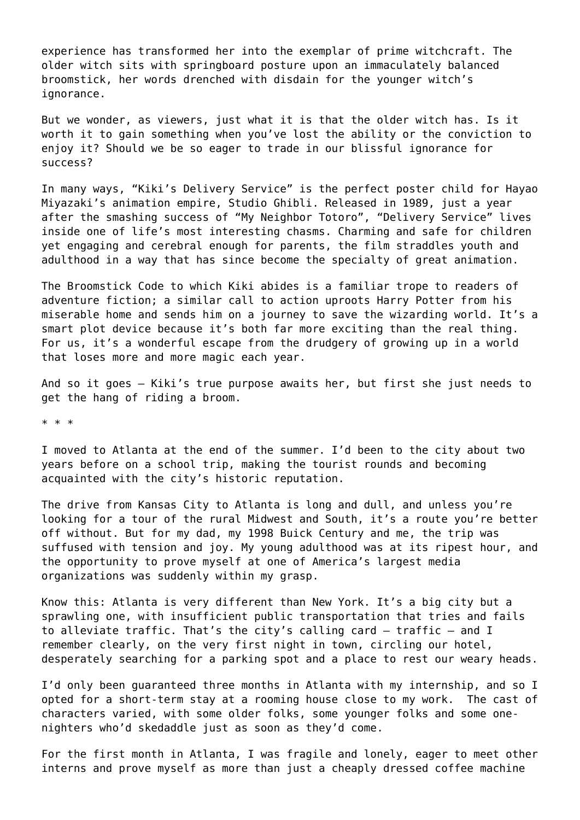experience has transformed her into the exemplar of prime witchcraft. The older witch sits with springboard posture upon an immaculately balanced broomstick, her words drenched with disdain for the younger witch's ignorance.

But we wonder, as viewers, just what it is that the older witch has. Is it worth it to gain something when you've lost the ability or the conviction to enjoy it? Should we be so eager to trade in our blissful ignorance for success?

In many ways, "Kiki's Delivery Service" is the perfect poster child for Hayao Miyazaki's animation empire, Studio Ghibli. Released in 1989, just a year after the smashing success of "My Neighbor Totoro", "Delivery Service" lives inside one of life's most interesting chasms. Charming and safe for children yet engaging and cerebral enough for parents, the film straddles youth and adulthood in a way that has since become the specialty of great animation.

The Broomstick Code to which Kiki abides is a familiar trope to readers of adventure fiction; a similar call to action uproots Harry Potter from his miserable home and sends him on a journey to save the wizarding world. It's a smart plot device because it's both far more exciting than the real thing. For us, it's a wonderful escape from the drudgery of growing up in a world that loses more and more magic each year.

And so it goes – Kiki's true purpose awaits her, but first she just needs to get the hang of riding a broom.

\* \* \*

I moved to Atlanta at the end of the summer. I'd been to the city about two years before on a school trip, making the tourist rounds and becoming acquainted with the city's historic reputation.

The drive from Kansas City to Atlanta is long and dull, and unless you're looking for a tour of the rural Midwest and South, it's a route you're better off without. But for my dad, my 1998 Buick Century and me, the trip was suffused with tension and joy. My young adulthood was at its ripest hour, and the opportunity to prove myself at one of America's largest media organizations was suddenly within my grasp.

Know this: Atlanta is very different than New York. It's a big city but a sprawling one, with insufficient public transportation that tries and fails to alleviate traffic. That's the city's calling card – traffic – and I remember clearly, on the very first night in town, circling our hotel, desperately searching for a parking spot and a place to rest our weary heads.

I'd only been guaranteed three months in Atlanta with my internship, and so I opted for a short-term stay at a rooming house close to my work. The cast of characters varied, with some older folks, some younger folks and some onenighters who'd skedaddle just as soon as they'd come.

For the first month in Atlanta, I was fragile and lonely, eager to meet other interns and prove myself as more than just a cheaply dressed coffee machine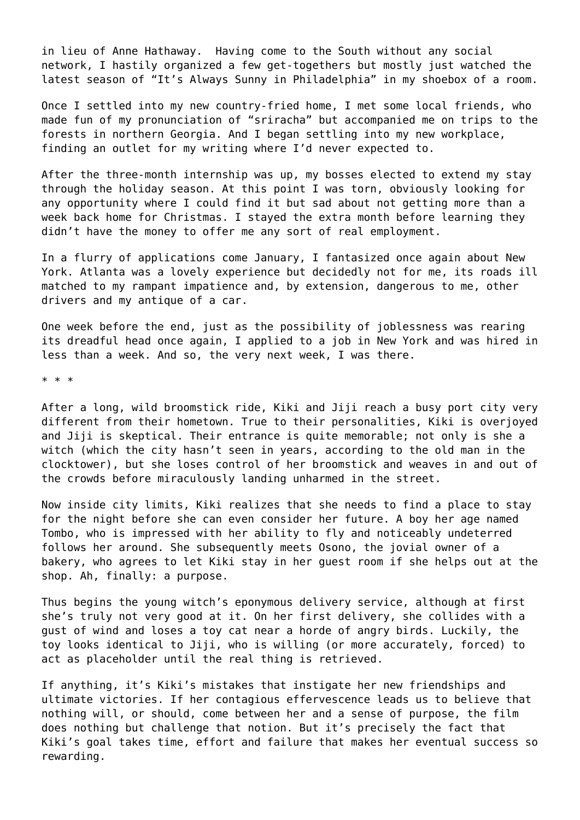in lieu of Anne Hathaway. Having come to the South without any social network, I hastily organized a few get-togethers but mostly just watched the latest season of "It's Always Sunny in Philadelphia" in my shoebox of a room.

Once I settled into my new country-fried home, I met some local friends, who made fun of my pronunciation of "sriracha" but accompanied me on trips to the forests in northern Georgia. And I began settling into my new workplace, finding an outlet for my writing where I'd never expected to.

After the three-month internship was up, my bosses elected to extend my stay through the holiday season. At this point I was torn, obviously looking for any opportunity where I could find it but sad about not getting more than a week back home for Christmas. I stayed the extra month before learning they didn't have the money to offer me any sort of real employment.

In a flurry of applications come January, I fantasized once again about New York. Atlanta was a lovely experience but decidedly not for me, its roads ill matched to my rampant impatience and, by extension, dangerous to me, other drivers and my antique of a car.

One week before the end, just as the possibility of joblessness was rearing its dreadful head once again, I applied to a job in New York and was hired in less than a week. And so, the very next week, I was there.

\* \* \*

After a long, wild broomstick ride, Kiki and Jiji reach a busy port city very different from their hometown. True to their personalities, Kiki is overjoyed and Jiji is skeptical. Their entrance is quite memorable; not only is she a witch (which the city hasn't seen in years, according to the old man in the clocktower), but she loses control of her broomstick and weaves in and out of the crowds before miraculously landing unharmed in the street.

Now inside city limits, Kiki realizes that she needs to find a place to stay for the night before she can even consider her future. A boy her age named Tombo, who is impressed with her ability to fly and noticeably undeterred follows her around. She subsequently meets Osono, the jovial owner of a bakery, who agrees to let Kiki stay in her guest room if she helps out at the shop. Ah, finally: a purpose.

Thus begins the young witch's eponymous delivery service, although at first she's truly not very good at it. On her first delivery, she collides with a gust of wind and loses a toy cat near a horde of angry birds. Luckily, the toy looks identical to Jiji, who is willing (or more accurately, forced) to act as placeholder until the real thing is retrieved.

If anything, it's Kiki's mistakes that instigate her new friendships and ultimate victories. If her contagious effervescence leads us to believe that nothing will, or should, come between her and a sense of purpose, the film does nothing but challenge that notion. But it's precisely the fact that Kiki's goal takes time, effort and failure that makes her eventual success so rewarding.